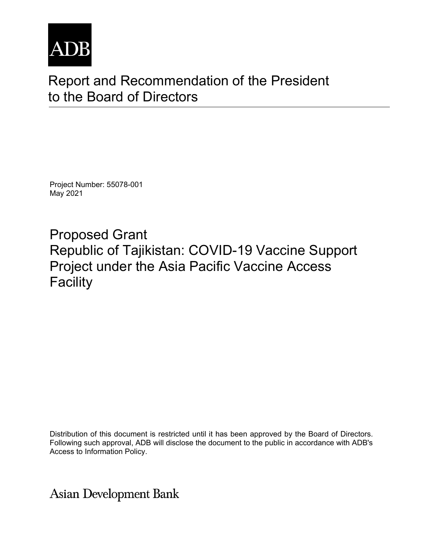

# Report and Recommendation of the President to the Board of Directors

Project Number: 55078-001 May 2021

Proposed Grant Republic of Tajikistan: COVID-19 Vaccine Support Project under the Asia Pacific Vaccine Access **Facility** 

Distribution of this document is restricted until it has been approved by the Board of Directors. Following such approval, ADB will disclose the document to the public in accordance with ADB's Access to Information Policy.

**Asian Development Bank**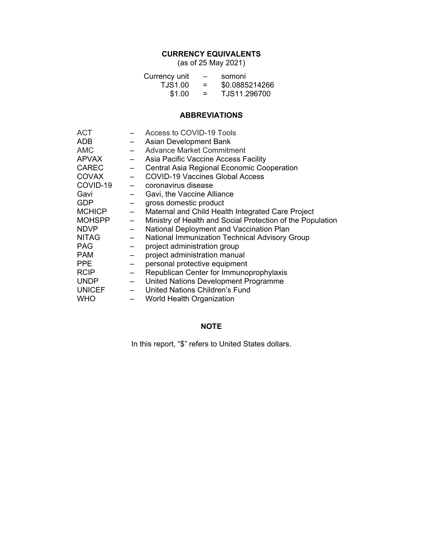# **CURRENCY EQUIVALENTS**

(as of 25 May 2021)

| Currency unit  | $\overline{\phantom{0}}$ | somoni         |
|----------------|--------------------------|----------------|
| <b>TJS1.00</b> | $=$                      | \$0.0885214266 |
| \$1.00         | $=$                      | TJS11.296700   |

# **ABBREVIATIONS**

| ACT           |                          | Access to COVID-19 Tools                                   |
|---------------|--------------------------|------------------------------------------------------------|
| ADB           |                          | <b>Asian Development Bank</b>                              |
| <b>AMC</b>    |                          | <b>Advance Market Commitment</b>                           |
| <b>APVAX</b>  | $-$                      | Asia Pacific Vaccine Access Facility                       |
| <b>CAREC</b>  |                          | Central Asia Regional Economic Cooperation                 |
| <b>COVAX</b>  |                          | <b>COVID-19 Vaccines Global Access</b>                     |
| COVID-19      | $\overline{\phantom{m}}$ | coronavirus disease                                        |
| Gavi          | $\overline{\phantom{m}}$ | Gavi, the Vaccine Alliance                                 |
| <b>GDP</b>    |                          | gross domestic product                                     |
| <b>MCHICP</b> | $\overline{\phantom{m}}$ | Maternal and Child Health Integrated Care Project          |
| <b>MOHSPP</b> | $\overline{\phantom{m}}$ | Ministry of Health and Social Protection of the Population |
| <b>NDVP</b>   | $\overline{\phantom{0}}$ | National Deployment and Vaccination Plan                   |
| <b>NITAG</b>  |                          | <b>National Immunization Technical Advisory Group</b>      |
| <b>PAG</b>    |                          | project administration group                               |
| <b>PAM</b>    |                          | project administration manual                              |
| <b>PPE</b>    |                          | personal protective equipment                              |
| <b>RCIP</b>   |                          | Republican Center for Immunoprophylaxis                    |
| <b>UNDP</b>   | $\leftarrow$             | United Nations Development Programme                       |
| <b>UNICEF</b> |                          | <b>United Nations Children's Fund</b>                      |
| <b>WHO</b>    |                          | World Health Organization                                  |

# **NOTE**

In this report, "\$" refers to United States dollars.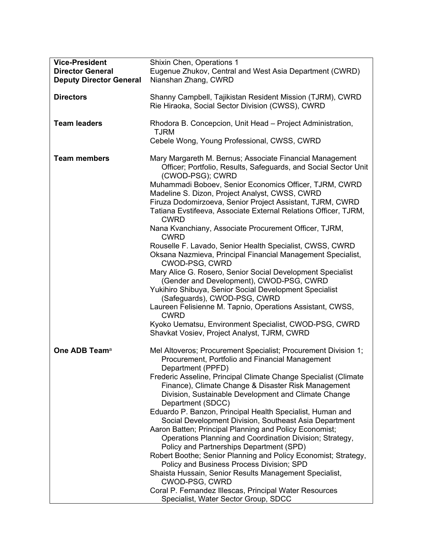| <b>Vice-President</b><br><b>Director General</b><br><b>Deputy Director General</b> | Shixin Chen, Operations 1<br>Eugenue Zhukov, Central and West Asia Department (CWRD)<br>Nianshan Zhang, CWRD                                                                                                                                                                                                                                                                                                                                                                                                                                                                                                                                                                                                                                                                                                                                                                                                                                                             |
|------------------------------------------------------------------------------------|--------------------------------------------------------------------------------------------------------------------------------------------------------------------------------------------------------------------------------------------------------------------------------------------------------------------------------------------------------------------------------------------------------------------------------------------------------------------------------------------------------------------------------------------------------------------------------------------------------------------------------------------------------------------------------------------------------------------------------------------------------------------------------------------------------------------------------------------------------------------------------------------------------------------------------------------------------------------------|
| <b>Directors</b>                                                                   | Shanny Campbell, Tajikistan Resident Mission (TJRM), CWRD<br>Rie Hiraoka, Social Sector Division (CWSS), CWRD                                                                                                                                                                                                                                                                                                                                                                                                                                                                                                                                                                                                                                                                                                                                                                                                                                                            |
| <b>Team leaders</b>                                                                | Rhodora B. Concepcion, Unit Head - Project Administration,<br><b>TJRM</b>                                                                                                                                                                                                                                                                                                                                                                                                                                                                                                                                                                                                                                                                                                                                                                                                                                                                                                |
|                                                                                    | Cebele Wong, Young Professional, CWSS, CWRD                                                                                                                                                                                                                                                                                                                                                                                                                                                                                                                                                                                                                                                                                                                                                                                                                                                                                                                              |
| <b>Team members</b>                                                                | Mary Margareth M. Bernus; Associate Financial Management<br>Officer; Portfolio, Results, Safeguards, and Social Sector Unit<br>(CWOD-PSG); CWRD<br>Muhammadi Boboev, Senior Economics Officer, TJRM, CWRD<br>Madeline S. Dizon, Project Analyst, CWSS, CWRD<br>Firuza Dodomirzoeva, Senior Project Assistant, TJRM, CWRD<br>Tatiana Evstifeeva, Associate External Relations Officer, TJRM,<br><b>CWRD</b><br>Nana Kvanchiany, Associate Procurement Officer, TJRM,<br><b>CWRD</b><br>Rouselle F. Lavado, Senior Health Specialist, CWSS, CWRD<br>Oksana Nazmieva, Principal Financial Management Specialist,<br>CWOD-PSG, CWRD<br>Mary Alice G. Rosero, Senior Social Development Specialist<br>(Gender and Development), CWOD-PSG, CWRD<br>Yukihiro Shibuya, Senior Social Development Specialist<br>(Safeguards), CWOD-PSG, CWRD<br>Laureen Felisienne M. Tapnio, Operations Assistant, CWSS,<br><b>CWRD</b><br>Kyoko Uematsu, Environment Specialist, CWOD-PSG, CWRD |
|                                                                                    | Shavkat Vosiev, Project Analyst, TJRM, CWRD                                                                                                                                                                                                                                                                                                                                                                                                                                                                                                                                                                                                                                                                                                                                                                                                                                                                                                                              |
| One ADB Team <sup>a</sup>                                                          | Mel Altoveros; Procurement Specialist; Procurement Division 1;<br>Procurement, Portfolio and Financial Management<br>Department (PPFD)<br>Frederic Asseline, Principal Climate Change Specialist (Climate<br>Finance), Climate Change & Disaster Risk Management<br>Division, Sustainable Development and Climate Change<br>Department (SDCC)<br>Eduardo P. Banzon, Principal Health Specialist, Human and<br>Social Development Division, Southeast Asia Department<br>Aaron Batten; Principal Planning and Policy Economist;<br>Operations Planning and Coordination Division; Strategy,<br>Policy and Partnerships Department (SPD)<br>Robert Boothe; Senior Planning and Policy Economist; Strategy,<br>Policy and Business Process Division; SPD<br>Shaista Hussain, Senior Results Management Specialist,<br>CWOD-PSG, CWRD<br>Coral P. Fernandez Illescas, Principal Water Resources<br>Specialist, Water Sector Group, SDCC                                      |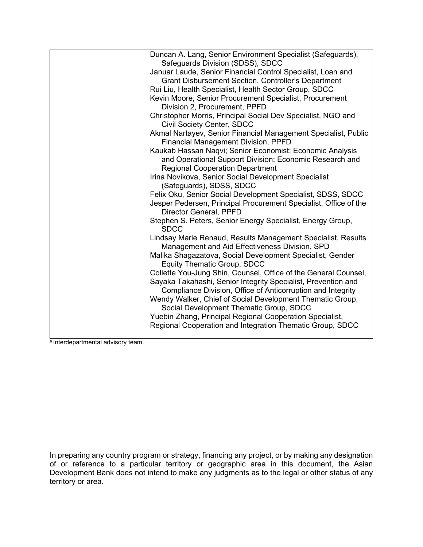| Duncan A. Lang, Senior Environment Specialist (Safeguards),<br>Safeguards Division (SDSS), SDCC                              |
|------------------------------------------------------------------------------------------------------------------------------|
| Januar Laude, Senior Financial Control Specialist, Loan and                                                                  |
| Grant Disbursement Section, Controller's Department                                                                          |
|                                                                                                                              |
| Rui Liu, Health Specialist, Health Sector Group, SDCC                                                                        |
| Kevin Moore, Senior Procurement Specialist, Procurement<br>Division 2, Procurement, PPFD                                     |
| Christopher Morris, Principal Social Dev Specialist, NGO and<br><b>Civil Society Center, SDCC</b>                            |
|                                                                                                                              |
| Akmal Nartayev, Senior Financial Management Specialist, Public<br><b>Financial Management Division, PPFD</b>                 |
| Kaukab Hassan Naqvi; Senior Economist; Economic Analysis                                                                     |
| and Operational Support Division; Economic Research and<br><b>Regional Cooperation Department</b>                            |
| Irina Novikova, Senior Social Development Specialist                                                                         |
| (Safeguards), SDSS, SDCC                                                                                                     |
| Felix Oku, Senior Social Development Specialist, SDSS, SDCC                                                                  |
| Jesper Pedersen, Principal Procurement Specialist, Office of the<br>Director General, PPFD                                   |
| Stephen S. Peters, Senior Energy Specialist, Energy Group,<br><b>SDCC</b>                                                    |
| Lindsay Marie Renaud, Results Management Specialist, Results<br>Management and Aid Effectiveness Division, SPD               |
| Malika Shagazatova, Social Development Specialist, Gender<br><b>Equity Thematic Group, SDCC</b>                              |
| Collette You-Jung Shin, Counsel, Office of the General Counsel,                                                              |
| Sayaka Takahashi, Senior Integrity Specialist, Prevention and<br>Compliance Division, Office of Anticorruption and Integrity |
| Wendy Walker, Chief of Social Development Thematic Group,<br>Social Development Thematic Group, SDCC                         |
| Yuebin Zhang, Principal Regional Cooperation Specialist,                                                                     |
| Regional Cooperation and Integration Thematic Group, SDCC                                                                    |

a Interdepartmental advisory team.

In preparing any country program or strategy, financing any project, or by making any designation of or reference to a particular territory or geographic area in this document, the Asian Development Bank does not intend to make any judgments as to the legal or other status of any territory or area.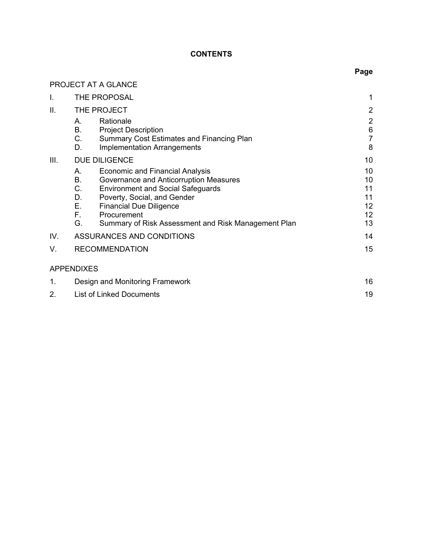# **CONTENTS**

**Page**

|             | PROJECT AT A GLANCE                                                                                                                                                                                                                                                                                           |                                        |
|-------------|---------------------------------------------------------------------------------------------------------------------------------------------------------------------------------------------------------------------------------------------------------------------------------------------------------------|----------------------------------------|
| L.          | THE PROPOSAL                                                                                                                                                                                                                                                                                                  | 1                                      |
| II.         | THE PROJECT                                                                                                                                                                                                                                                                                                   | $\overline{2}$                         |
|             | Rationale<br>Α.<br>В.<br><b>Project Description</b><br>C.<br><b>Summary Cost Estimates and Financing Plan</b><br><b>Implementation Arrangements</b><br>D.                                                                                                                                                     | $\overline{c}$<br>6<br>7<br>8          |
| III.        | <b>DUE DILIGENCE</b>                                                                                                                                                                                                                                                                                          | 10                                     |
|             | <b>Economic and Financial Analysis</b><br>А.<br>В.<br>Governance and Anticorruption Measures<br>C.<br><b>Environment and Social Safeguards</b><br>D.<br>Poverty, Social, and Gender<br>Е.<br><b>Financial Due Diligence</b><br>F.<br>Procurement<br>G.<br>Summary of Risk Assessment and Risk Management Plan | 10<br>10<br>11<br>11<br>12<br>12<br>13 |
| IV.         | ASSURANCES AND CONDITIONS                                                                                                                                                                                                                                                                                     | 14                                     |
| V.          | <b>RECOMMENDATION</b>                                                                                                                                                                                                                                                                                         | 15                                     |
|             | <b>APPENDIXES</b>                                                                                                                                                                                                                                                                                             |                                        |
| $\mathbf 1$ | Design and Monitoring Framework                                                                                                                                                                                                                                                                               | 16                                     |
| 2.          | <b>List of Linked Documents</b>                                                                                                                                                                                                                                                                               | 19                                     |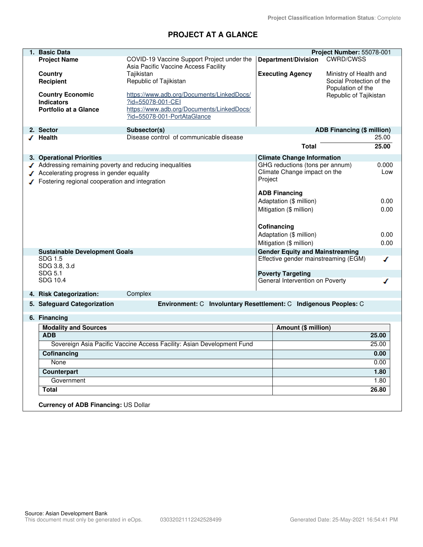# **PROJECT AT A GLANCE**

| 1. Basic Data                                          |                                                                        |         |                                                             | Project Number: 55078-001         |       |
|--------------------------------------------------------|------------------------------------------------------------------------|---------|-------------------------------------------------------------|-----------------------------------|-------|
| <b>Project Name</b>                                    | COVID-19 Vaccine Support Project under the                             |         | <b>Department/Division</b>                                  | <b>CWRD/CWSS</b>                  |       |
|                                                        | Asia Pacific Vaccine Access Facility                                   |         |                                                             |                                   |       |
| Country                                                | Tajikistan                                                             |         | <b>Executing Agency</b>                                     | Ministry of Health and            |       |
| <b>Recipient</b>                                       | Republic of Tajikistan                                                 |         |                                                             | Social Protection of the          |       |
|                                                        |                                                                        |         |                                                             | Population of the                 |       |
| <b>Country Economic</b>                                | https://www.adb.org/Documents/LinkedDocs/                              |         |                                                             | Republic of Tajikistan            |       |
| <b>Indicators</b>                                      | ?id=55078-001-CEI                                                      |         |                                                             |                                   |       |
| <b>Portfolio at a Glance</b>                           | https://www.adb.org/Documents/LinkedDocs/                              |         |                                                             |                                   |       |
|                                                        | ?id=55078-001-PortAtaGlance                                            |         |                                                             |                                   |       |
| 2. Sector                                              | Subsector(s)                                                           |         |                                                             | <b>ADB Financing (\$ million)</b> |       |
| √ Health                                               | Disease control of communicable disease                                |         |                                                             |                                   | 25.00 |
|                                                        |                                                                        |         | <b>Total</b>                                                |                                   | 25.00 |
|                                                        |                                                                        |         |                                                             |                                   |       |
| 3. Operational Priorities                              |                                                                        |         | <b>Climate Change Information</b>                           |                                   |       |
| Addressing remaining poverty and reducing inequalities |                                                                        |         | GHG reductions (tons per annum)                             |                                   | 0.000 |
| Accelerating progress in gender equality               |                                                                        |         | Climate Change impact on the                                |                                   | Low   |
| Fostering regional cooperation and integration         |                                                                        | Project |                                                             |                                   |       |
|                                                        |                                                                        |         | <b>ADB Financing</b>                                        |                                   |       |
|                                                        |                                                                        |         | Adaptation (\$ million)                                     |                                   | 0.00  |
|                                                        |                                                                        |         | Mitigation (\$ million)                                     |                                   | 0.00  |
|                                                        |                                                                        |         |                                                             |                                   |       |
|                                                        |                                                                        |         |                                                             |                                   |       |
|                                                        |                                                                        |         | Cofinancing                                                 |                                   |       |
|                                                        |                                                                        |         | Adaptation (\$ million)                                     |                                   | 0.00  |
|                                                        |                                                                        |         | Mitigation (\$ million)                                     |                                   | 0.00  |
| <b>Sustainable Development Goals</b>                   |                                                                        |         | <b>Gender Equity and Mainstreaming</b>                      |                                   |       |
| SDG 1.5                                                |                                                                        |         | Effective gender mainstreaming (EGM)                        |                                   | ✔     |
| SDG 3.8, 3.d                                           |                                                                        |         |                                                             |                                   |       |
| SDG 5.1<br>SDG 10.4                                    |                                                                        |         | <b>Poverty Targeting</b><br>General Intervention on Poverty |                                   | ◢     |
|                                                        |                                                                        |         |                                                             |                                   |       |
| 4. Risk Categorization:                                | Complex                                                                |         |                                                             |                                   |       |
| 5. Safeguard Categorization                            | Environment: C Involuntary Resettlement: C Indigenous Peoples: C       |         |                                                             |                                   |       |
| 6. Financing                                           |                                                                        |         |                                                             |                                   |       |
| <b>Modality and Sources</b>                            |                                                                        |         | Amount (\$ million)                                         |                                   |       |
| <b>ADB</b>                                             |                                                                        |         |                                                             |                                   | 25.00 |
|                                                        | Sovereign Asia Pacific Vaccine Access Facility: Asian Development Fund |         |                                                             |                                   | 25.00 |
| Cofinancing                                            |                                                                        |         |                                                             |                                   | 0.00  |
| None                                                   |                                                                        |         |                                                             |                                   | 0.00  |
| Counterpart                                            |                                                                        |         |                                                             |                                   | 1.80  |
| Government                                             |                                                                        |         |                                                             |                                   | 1.80  |
| <b>Total</b>                                           |                                                                        |         |                                                             |                                   | 26.80 |
| <b>Currency of ADB Financing: US Dollar</b>            |                                                                        |         |                                                             |                                   |       |
|                                                        |                                                                        |         |                                                             |                                   |       |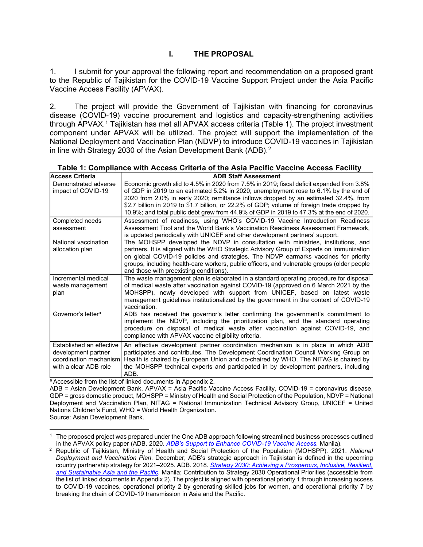# **I. THE PROPOSAL**

1. I submit for your approval the following report and recommendation on a proposed grant to the Republic of Tajikistan for the COVID-19 Vaccine Support Project under the Asia Pacific Vaccine Access Facility (APVAX).

2. The project will provide the Government of Tajikistan with financing for coronavirus disease (COVID-19) vaccine procurement and logistics and capacity-strengthening activities through APVAX.[1](#page-6-0) Tajikistan has met all APVAX access criteria (Table 1). The project investment component under APVAX will be utilized. The project will support the implementation of the National Deployment and Vaccination Plan (NDVP) to introduce COVID-19 vaccines in Tajikistan in line with Strategy 2030 of the Asian Development Bank (ADB). [2](#page-6-1)

| <b>Access Criteria</b>         | <b>ADB Staff Assessment</b>                                                                 |
|--------------------------------|---------------------------------------------------------------------------------------------|
| Demonstrated adverse           | Economic growth slid to 4.5% in 2020 from 7.5% in 2019; fiscal deficit expanded from 3.8%   |
| impact of COVID-19             | of GDP in 2019 to an estimated 5.2% in 2020; unemployment rose to 6.1% by the end of        |
|                                | 2020 from 2.0% in early 2020; remittance inflows dropped by an estimated 32.4%, from        |
|                                | \$2.7 billion in 2019 to \$1.7 billion, or 22.2% of GDP; volume of foreign trade dropped by |
|                                | 10.9%; and total public debt grew from 44.9% of GDP in 2019 to 47.3% at the end of 2020.    |
| Completed needs                | Assessment of readiness, using WHO's COVID-19 Vaccine Introduction Readiness                |
| assessment                     | Assessment Tool and the World Bank's Vaccination Readiness Assessment Framework,            |
|                                | is updated periodically with UNICEF and other development partners' support.                |
| National vaccination           | The MOHSPP developed the NDVP in consultation with ministries, institutions, and            |
| allocation plan                | partners. It is aligned with the WHO Strategic Advisory Group of Experts on Immunization    |
|                                | on global COVID-19 policies and strategies. The NDVP earmarks vaccines for priority         |
|                                | groups, including health-care workers, public officers, and vulnerable groups (older people |
|                                | and those with preexisting conditions).                                                     |
| Incremental medical            | The waste management plan is elaborated in a standard operating procedure for disposal      |
| waste management               | of medical waste after vaccination against COVID-19 (approved on 6 March 2021 by the        |
| plan                           | MOHSPP), newly developed with support from UNICEF, based on latest waste                    |
|                                | management guidelines institutionalized by the government in the context of COVID-19        |
|                                | vaccination.                                                                                |
| Governor's letter <sup>a</sup> | ADB has received the governor's letter confirming the government's commitment to            |
|                                | implement the NDVP, including the prioritization plan, and the standard operating           |
|                                | procedure on disposal of medical waste after vaccination against COVID-19, and              |
|                                | compliance with APVAX vaccine eligibility criteria.                                         |
| Established an effective       | An effective development partner coordination mechanism is in place in which ADB            |
| development partner            | participates and contributes. The Development Coordination Council Working Group on         |
| coordination mechanism         | Health is chaired by European Union and co-chaired by WHO. The NITAG is chaired by          |
| with a clear ADB role          | the MOHSPP technical experts and participated in by development partners, including         |
|                                | ADB.                                                                                        |

**Table 1: Compliance with Access Criteria of the Asia Pacific Vaccine Access Facility**

a Accessible from the list of linked documents in Appendix 2.

ADB = Asian Development Bank, APVAX = Asia Pacific Vaccine Access Facility, COVID-19 = coronavirus disease, GDP = gross domestic product, MOHSPP = Ministry of Health and Social Protection of the Population, NDVP = National Deployment and Vaccination Plan, NITAG = National Immunization Technical Advisory Group, UNICEF = United Nations Children's Fund, WHO = World Health Organization.

Source: Asian Development Bank.

<span id="page-6-0"></span><sup>1</sup> The proposed project was prepared under the One ADB approach following streamlined business processes outlined in the APVAX policy paper (ADB. 2020. *[ADB's Support to Enhance COVID-19 Vaccine Access.](https://www.adb.org/documents/adb-support-enhance-covid-19-vaccine-access)* Manila).

<span id="page-6-1"></span><sup>2</sup> Republic of Tajikistan, Ministry of Health and Social Protection of the Population (MOHSPP). 2021. *National Deployment and Vaccination Plan*. December; ADB's strategic approach in Tajikistan is defined in the upcoming country partnership strategy for 2021–2025. ADB. 2018. *Strategy 2030: Achieving a Prosperous, Inclusive, Resilient, and Sustainable Asia and the Pacific*[. Manila; Contribution to Strategy 2030 Operational Priorities \(accessible from](https://www.adb.org/sites/default/files/institutional-document/435391/strategy-2030-main-document.pdf)  the list of linked documents in Appendix 2). The project is aligned with operational priority 1 through increasing access to COVID-19 vaccines, operational priority 2 by generating skilled jobs for women, and operational priority 7 by breaking the chain of COVID-19 transmission in Asia and the Pacific.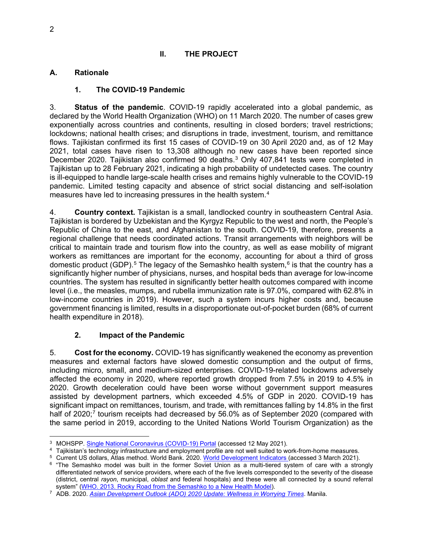# **II. THE PROJECT**

# **A. Rationale**

# **1. The COVID-19 Pandemic**

3. **Status of the pandemic**. COVID-19 rapidly accelerated into a global pandemic, as declared by the World Health Organization (WHO) on 11 March 2020. The number of cases grew exponentially across countries and continents, resulting in closed borders; travel restrictions; lockdowns; national health crises; and disruptions in trade, investment, tourism, and remittance flows. Tajikistan confirmed its first 15 cases of COVID-19 on 30 April 2020 and, as of 12 May 2021, total cases have risen to 13,308 although no new cases have been reported since December 2020. Tajikistan also confirmed 90 deaths.<sup>[3](#page-7-0)</sup> Only 407,841 tests were completed in Tajikistan up to 28 February 2021, indicating a high probability of undetected cases. The country is ill-equipped to handle large-scale health crises and remains highly vulnerable to the COVID-19 pandemic. Limited testing capacity and absence of strict social distancing and self-isolation measures have led to increasing pressures in the health system.[4](#page-7-1)

4. **Country context.** Tajikistan is a small, landlocked country in southeastern Central Asia. Tajikistan is bordered by Uzbekistan and the Kyrgyz Republic to the west and north, the People's Republic of China to the east, and Afghanistan to the south. COVID-19, therefore, presents a regional challenge that needs coordinated actions. Transit arrangements with neighbors will be critical to maintain trade and tourism flow into the country, as well as ease mobility of migrant workers as remittances are important for the economy, accounting for about a third of gross domestic product (GDP).<sup>[5](#page-7-2)</sup> The legacy of the Semashko health system,<sup>[6](#page-7-3)</sup> is that the country has a significantly higher number of physicians, nurses, and hospital beds than average for low-income countries. The system has resulted in significantly better health outcomes compared with income level (i.e., the measles, mumps, and rubella immunization rate is 97.0%, compared with 62.8% in low-income countries in 2019). However, such a system incurs higher costs and, because government financing is limited, results in a disproportionate out-of-pocket burden (68% of current health expenditure in 2018).

# **2. Impact of the Pandemic**

5. **Cost for the economy.** COVID-19 has significantly weakened the economy as prevention measures and external factors have slowed domestic consumption and the output of firms, including micro, small, and medium-sized enterprises. COVID-19-related lockdowns adversely affected the economy in 2020, where reported growth dropped from 7.5% in 2019 to 4.5% in 2020. Growth deceleration could have been worse without government support measures assisted by development partners, which exceeded 4.5% of GDP in 2020. COVID-19 has significant impact on remittances, tourism, and trade, with remittances falling by 14.8% in the first half of 2020;<sup>[7](#page-7-4)</sup> tourism receipts had decreased by 56.0% as of September 2020 (compared with the same period in 2019, according to the United Nations World Tourism Organization) as the

<span id="page-7-0"></span><sup>3</sup> MOHSPP. [Single National Coronavirus \(COVID-19\) Portal](http://www.covid.tj/) (accessed 12 May 2021).

<span id="page-7-1"></span><sup>4</sup> Tajikistan's technology infrastructure and employment profile are not well suited to work-from-home measures.

<span id="page-7-2"></span><sup>5</sup> Current US dollars, Atlas method. World Bank. 2020. [World Development Indicators \(](https://data.worldbank.org/country/tajikistan?view=chart)accessed 3 March 2021).

<span id="page-7-3"></span><sup>&</sup>lt;sup>6</sup> "The Semashko model was built in the former Soviet Union as a multi-tiered system of care with a strongly differentiated network of service providers, where each of the five levels corresponded to the severity of the disease (district, central *rayon*, municipal, *oblast* and federal hospitals) and these were all connected by a sound referral system" [\(WHO. 2013. Rocky Road from the Semashko to a New Health Model\)](https://www.who.int/bulletin/volumes/91/5/13-030513/en/).

<span id="page-7-4"></span><sup>7</sup> ADB. 2020. *[Asian Development Outlook \(ADO\) 2020 Update: Wellness](https://www.adb.org/publications/asian-development-outlook-2020-update) in Worrying Times*. Manila.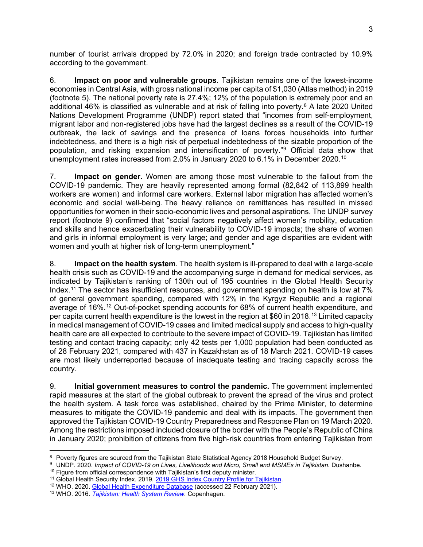number of tourist arrivals dropped by 72.0% in 2020; and foreign trade contracted by 10.9% according to the government.

6. **Impact on poor and vulnerable groups**. Tajikistan remains one of the lowest-income economies in Central Asia, with gross national income per capita of \$1,030 (Atlas method) in 2019 (footnote 5). The national poverty rate is 27.4%; 12% of the population is extremely poor and an additional 46% is classified as vulnerable and at risk of falling into poverty.<sup>[8](#page-8-0)</sup> A late 2020 United Nations Development Programme (UNDP) report stated that "incomes from self-employment, migrant labor and non-registered jobs have had the largest declines as a result of the COVID-19 outbreak, the lack of savings and the presence of loans forces households into further indebtedness, and there is a high risk of perpetual indebtedness of the sizable proportion of the population, and risking expansion and intensification of poverty."[9](#page-8-1) Official data show that unemployment rates increased from 2.0% in January 2020 to 6.1% in December 2020.[10](#page-8-2)

7. **Impact on gender**. Women are among those most vulnerable to the fallout from the COVID-19 pandemic. They are heavily represented among formal (82,842 of 113,899 health workers are women) and informal care workers. External labor migration has affected women's economic and social well-being. The heavy reliance on remittances has resulted in missed opportunities for women in their socio-economic lives and personal aspirations. The UNDP survey report (footnote 9) confirmed that "social factors negatively affect women's mobility, education and skills and hence exacerbating their vulnerability to COVID-19 impacts; the share of women and girls in informal employment is very large; and gender and age disparities are evident with women and youth at higher risk of long-term unemployment."

8. **Impact on the health system**. The health system is ill-prepared to deal with a large-scale health crisis such as COVID-19 and the accompanying surge in demand for medical services, as indicated by Tajikistan's ranking of 130th out of 195 countries in the Global Health Security Index.<sup>[11](#page-8-3)</sup> The sector has insufficient resources, and government spending on health is low at 7% of general government spending, compared with 12% in the Kyrgyz Republic and a regional average of 16%. [12](#page-8-4) Out-of-pocket spending accounts for 68% of current health expenditure, and per capita current health expenditure is the lowest in the region at \$60 in 2018. [13](#page-8-5) Limited capacity in medical management of COVID-19 cases and limited medical supply and access to high-quality health care are all expected to contribute to the severe impact of COVID-19. Tajikistan has limited testing and contact tracing capacity; only 42 tests per 1,000 population had been conducted as of 28 February 2021, compared with 437 in Kazakhstan as of 18 March 2021. COVID-19 cases are most likely underreported because of inadequate testing and tracing capacity across the country.

9. **Initial government measures to control the pandemic.** The government implemented rapid measures at the start of the global outbreak to prevent the spread of the virus and protect the health system. A task force was established, chaired by the Prime Minister, to determine measures to mitigate the COVID-19 pandemic and deal with its impacts. The government then approved the Tajikistan COVID-19 Country Preparedness and Response Plan on 19 March 2020. Among the restrictions imposed included closure of the border with the People's Republic of China in January 2020; prohibition of citizens from five high-risk countries from entering Tajikistan from

<span id="page-8-0"></span> $^8$  Poverty figures are sourced from the Tajikistan State Statistical Agency 2018 Household Budget Survey.

<span id="page-8-1"></span><sup>&</sup>lt;sup>9</sup> UNDP. 2020. *Impact of COVID-19 on Lives, Livelihoods and Micro, Small and MSMEs in Tajikistan. Dushanbe.* 

<span id="page-8-2"></span><sup>&</sup>lt;sup>10</sup> Figure from official correspondence with Tajikistan's first deputy minister.

<span id="page-8-3"></span><sup>&</sup>lt;sup>11</sup> Global Health Security Index. 2019. [2019 GHS Index Country Profile for Tajikistan](https://www.ghsindex.org/country/tajikistan/).

<span id="page-8-4"></span><sup>&</sup>lt;sup>12</sup> WHO. 2020. [Global Health Expenditure Database](https://apps.who.int/nha/database/Home/Index/en) (accessed 22 February 2021).

<span id="page-8-5"></span><sup>13</sup> WHO. 2016. *[Tajikistan: Health System Review.](https://apps.who.int/iris/handle/10665/330246)* Copenhagen.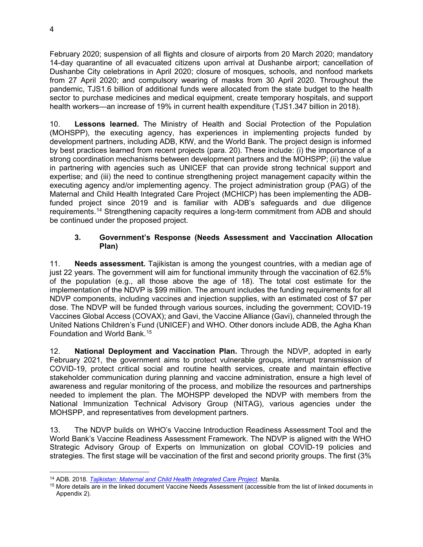February 2020; suspension of all flights and closure of airports from 20 March 2020; mandatory 14-day quarantine of all evacuated citizens upon arrival at Dushanbe airport; cancellation of Dushanbe City celebrations in April 2020; closure of mosques, schools, and nonfood markets from 27 April 2020; and compulsory wearing of masks from 30 April 2020. Throughout the pandemic, TJS1.6 billion of additional funds were allocated from the state budget to the health sector to purchase medicines and medical equipment, create temporary hospitals, and support health workers—an increase of 19% in current health expenditure (TJS1.347 billion in 2018).

10. **Lessons learned.** The Ministry of Health and Social Protection of the Population (MOHSPP), the executing agency, has experiences in implementing projects funded by development partners, including ADB, KfW, and the World Bank. The project design is informed by best practices learned from recent projects (para. 20). These include: (i) the importance of a strong coordination mechanisms between development partners and the MOHSPP; (ii) the value in partnering with agencies such as UNICEF that can provide strong technical support and expertise; and (iii) the need to continue strengthening project management capacity within the executing agency and/or implementing agency. The project administration group (PAG) of the Maternal and Child Health Integrated Care Project (MCHICP) has been implementing the ADBfunded project since 2019 and is familiar with ADB's safeguards and due diligence requirements.[14](#page-9-0) Strengthening capacity requires a long-term commitment from ADB and should be continued under the proposed project.

# **3. Government's Response (Needs Assessment and Vaccination Allocation Plan)**

11. **Needs assessment.** Tajikistan is among the youngest countries, with a median age of just 22 years. The government will aim for functional immunity through the vaccination of 62.5% of the population (e.g., all those above the age of 18). The total cost estimate for the implementation of the NDVP is \$99 million. The amount includes the funding requirements for all NDVP components, including vaccines and injection supplies, with an estimated cost of \$7 per dose. The NDVP will be funded through various sources, including the government; COVID-19 Vaccines Global Access (COVAX); and Gavi, the Vaccine Alliance (Gavi), channeled through the United Nations Children's Fund (UNICEF) and WHO. Other donors include ADB, the Agha Khan Foundation and World Bank.[15](#page-9-1)

12. **National Deployment and Vaccination Plan.** Through the NDVP, adopted in early February 2021, the government aims to protect vulnerable groups, interrupt transmission of COVID-19, protect critical social and routine health services, create and maintain effective stakeholder communication during planning and vaccine administration, ensure a high level of awareness and regular monitoring of the process, and mobilize the resources and partnerships needed to implement the plan. The MOHSPP developed the NDVP with members from the National Immunization Technical Advisory Group (NITAG), various agencies under the MOHSPP, and representatives from development partners.

13. The NDVP builds on WHO's Vaccine Introduction Readiness Assessment Tool and the World Bank's Vaccine Readiness Assessment Framework. The NDVP is aligned with the WHO Strategic Advisory Group of Experts on Immunization on global COVID-19 policies and strategies. The first stage will be vaccination of the first and second priority groups. The first (3%

<span id="page-9-0"></span><sup>14</sup> ADB. 2018. *Tajikistan: [Maternal and Child Health Integrated Care Project.](https://www.adb.org/projects/51010-002/main#project-overview)* Manila.

<span id="page-9-1"></span><sup>15</sup> More details are in the linked document Vaccine Needs Assessment (accessible from the list of linked documents in Appendix 2).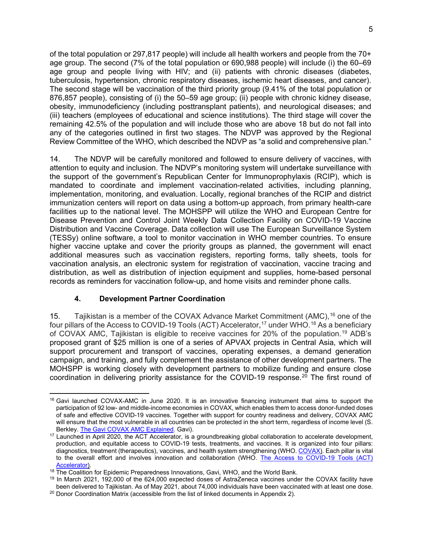of the total population or 297,817 people) will include all health workers and people from the 70+ age group. The second (7% of the total population or 690,988 people) will include (i) the 60–69 age group and people living with HIV; and (ii) patients with chronic diseases (diabetes, tuberculosis, hypertension, chronic respiratory diseases, ischemic heart diseases, and cancer). The second stage will be vaccination of the third priority group (9.41% of the total population or 876,857 people), consisting of (i) the 50–59 age group; (ii) people with chronic kidney disease, obesity, immunodeficiency (including posttransplant patients), and neurological diseases; and (iii) teachers (employees of educational and science institutions). The third stage will cover the remaining 42.5% of the population and will include those who are above 18 but do not fall into any of the categories outlined in first two stages. The NDVP was approved by the Regional Review Committee of the WHO, which described the NDVP as "a solid and comprehensive plan."

14. The NDVP will be carefully monitored and followed to ensure delivery of vaccines, with attention to equity and inclusion. The NDVP's monitoring system will undertake surveillance with the support of the government's Republican Center for Immunoprophylaxis (RCIP), which is mandated to coordinate and implement vaccination-related activities, including planning, implementation, monitoring, and evaluation. Locally, regional branches of the RCIP and district immunization centers will report on data using a bottom-up approach, from primary health-care facilities up to the national level. The MOHSPP will utilize the WHO and European Centre for Disease Prevention and Control Joint Weekly Data Collection Facility on COVID-19 Vaccine Distribution and Vaccine Coverage. Data collection will use The European Surveillance System (TESSy) online software, a tool to monitor vaccination in WHO member countries. To ensure higher vaccine uptake and cover the priority groups as planned, the government will enact additional measures such as vaccination registers, reporting forms, tally sheets, tools for vaccination analysis, an electronic system for registration of vaccination, vaccine tracing and distribution, as well as distribution of injection equipment and supplies, home-based personal records as reminders for vaccination follow-up, and home visits and reminder phone calls.

## **4. Development Partner Coordination**

15. Tajikistan is a member of the COVAX Advance Market Commitment (AMC), [16](#page-10-0) one of the four pillars of the Access to COVID-19 Tools (ACT) Accelerator, [17](#page-10-1) under WHO.[18](#page-10-2) As a beneficiary of COVAX AMC, Tajikistan is eligible to receive vaccines for 20% of the population. [19](#page-10-3) ADB's proposed grant of \$25 million is one of a series of APVAX projects in Central Asia, which will support procurement and transport of vaccines, operating expenses, a demand generation campaign, and training, and fully complement the assistance of other development partners. The MOHSPP is working closely with development partners to mobilize funding and ensure close coordination in delivering priority assistance for the COVID-19 response. [20](#page-10-4) The first round of

<span id="page-10-0"></span><sup>&</sup>lt;sup>16</sup> Gavi launched COVAX-AMC in June 2020. It is an innovative financing instrument that aims to support the participation of 92 low- and middle-income economies in COVAX, which enables them to access donor-funded doses of safe and effective COVID-19 vaccines. Together with support for country readiness and delivery, COVAX AMC will ensure that the most vulnerable in all countries can be protected in the short term, regardless of income level (S. Berkley. [The Gavi COVAX AMC Explained](https://www.gavi.org/vaccineswork/gavi-covax-amc-explained). Gavi).

<span id="page-10-1"></span><sup>&</sup>lt;sup>17</sup> Launched in April 2020, the ACT Accelerator, is a groundbreaking global collaboration to accelerate development, production, and equitable access to COVID-19 tests, treatments, and vaccines. It is organized into four pillars: diagnostics, treatment (therapeutics), vaccines, and health system strengthening (WHO. [COVAX\)](https://www.who.int/initiatives/act-accelerator/covax). Each pillar is vital [to the overall effort and involves innovation and collaboration \(WHO. The Access to COVID-19 Tools \(ACT\)](https://www.who.int/initiatives/act-accelerator/covax)  Accelerator).

<span id="page-10-2"></span><sup>&</sup>lt;sup>18</sup> The Coalition for Epidemic Preparedness Innovations, Gavi, WHO, and the World Bank.

<span id="page-10-3"></span><sup>19</sup> In March 2021, 192,000 of the 624,000 expected doses of AstraZeneca vaccines under the COVAX facility have been delivered to Tajikistan. As of May 2021, about 74,000 individuals have been vaccinated with at least one dose.

<span id="page-10-4"></span><sup>&</sup>lt;sup>20</sup> Donor Coordination Matrix (accessible from the list of linked documents in Appendix 2).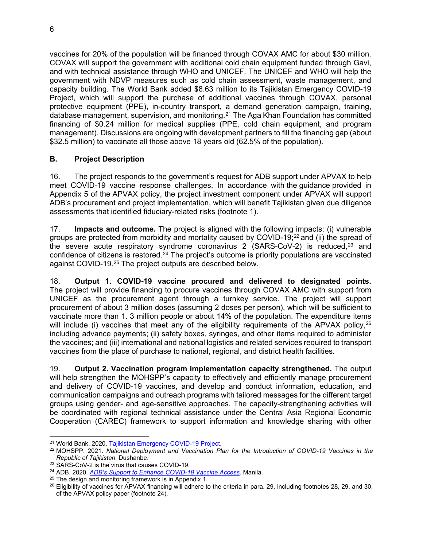vaccines for 20% of the population will be financed through COVAX AMC for about \$30 million. COVAX will support the government with additional cold chain equipment funded through Gavi, and with technical assistance through WHO and UNICEF. The UNICEF and WHO will help the government with NDVP measures such as cold chain assessment, waste management, and capacity building. The World Bank added \$8.63 million to its Tajikistan Emergency COVID-19 Project, which will support the purchase of additional vaccines through COVAX, personal protective equipment (PPE), in-country transport, a demand generation campaign, training, database management, supervision, and monitoring.[21](#page-11-1) The Aga Khan Foundation has committed financing of \$0.24 million for medical supplies (PPE, cold chain equipment, and program management). Discussions are ongoing with development partners to fill the financing gap (about \$32.5 million) to vaccinate all those above 18 years old (62.5% of the population).

# **B. Project Description**

16. The project responds to the government's request for ADB support under APVAX to help meet COVID-19 vaccine response challenges. In accordance with the guidance provided in Appendix 5 of the APVAX policy, the project investment component under APVAX will support ADB's procurement and project implementation, which will benefit Tajikistan given due diligence assessments that identified fiduciary-related risks (footnote [1\)](#page--1-13).

17. **Impacts and outcome.** The project is aligned with the following impacts: (i) vulnerable groups are protected from morbidity and mortality caused by COVID-19; [22](#page-11-2) and (ii) the spread of the severe acute respiratory syndrome coronavirus 2  $(SARS-CoV-2)$  is reduced,<sup>[23](#page-11-3)</sup> and confidence of citizens is restored.<sup>[24](#page-11-4)</sup> The project's outcome is priority populations are vaccinated against COVID-19.[25](#page-11-5) The project outputs are described below.

<span id="page-11-0"></span>18. **Output 1. COVID-19 vaccine procured and delivered to designated points.**  The project will provide financing to procure vaccines through COVAX AMC with support from UNICEF as the procurement agent through a turnkey service. The project will support procurement of about 3 million doses (assuming 2 doses per person), which will be sufficient to vaccinate more than 1. 3 million people or about 14% of the population. The expenditure items will include (i) vaccines that meet any of the eligibility requirements of the APVAX policy,  $26$ including advance payments; (ii) safety boxes, syringes, and other items required to administer the vaccines; and (iii) international and national logistics and related services required to transport vaccines from the place of purchase to national, regional, and district health facilities.

19. **Output 2. Vaccination program implementation capacity strengthened.** The output will help strengthen the MOHSPP's capacity to effectively and efficiently manage procurement and delivery of COVID-19 vaccines, and develop and conduct information, education, and communication campaigns and outreach programs with tailored messages for the different target groups using gender- and age-sensitive approaches. The capacity-strengthening activities will be coordinated with regional technical assistance under the Central Asia Regional Economic Cooperation (CAREC) framework to support information and knowledge sharing with other

<span id="page-11-1"></span><sup>21</sup> World Bank. 2020. [Tajikistan Emergency COVID-19 Project.](https://projects.worldbank.org/en/projects-operations/project-detail/P173765)

<span id="page-11-2"></span><sup>22</sup> MOHSPP. 2021. *National Deployment and Vaccination Plan for the Introduction of COVID-19 Vaccines in the Republic of Tajikistan*. Dushanbe.

<span id="page-11-3"></span><sup>23</sup> SARS-CoV-2 is the virus that causes COVID-19.

<span id="page-11-4"></span><sup>24</sup> ADB. 2020. *[ADB's Support to Enhance COVID-19 Vaccine Access](https://www.adb.org/documents/adb-support-enhance-covid-19-vaccine-access)*. Manila.

<span id="page-11-5"></span> $25$  The design and monitoring framework is in Appendix 1.

<span id="page-11-6"></span><sup>&</sup>lt;sup>26</sup> Eligibility of vaccines for APVAX financing will adhere to the criteria in para. 29, including footnotes 28, 29, and 30, of the APVAX policy paper (footnote [24\)](#page-11-0).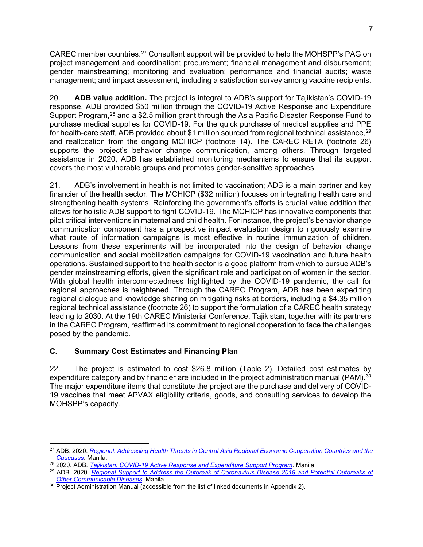CAREC member countries.[27](#page-12-0) Consultant support will be provided to help the MOHSPP's PAG on project management and coordination; procurement; financial management and disbursement; gender mainstreaming; monitoring and evaluation; performance and financial audits; waste management; and impact assessment, including a satisfaction survey among vaccine recipients.

20. **ADB value addition.** The project is integral to ADB's support for Tajikistan's COVID-19 response. ADB provided \$50 million through the COVID-19 Active Response and Expenditure Support Program,<sup>[28](#page-12-1)</sup> and a \$2.5 million grant through the Asia Pacific Disaster Response Fund to purchase medical supplies for COVID-19. For the quick purchase of medical supplies and PPE for health-care staff, ADB provided about \$1 million sourced from regional technical assistance, $^{\rm 29}$  $^{\rm 29}$  $^{\rm 29}$ and reallocation from the ongoing MCHICP (footnote 14). The CAREC RETA (footnote 26) supports the project's behavior change communication, among others. Through targeted assistance in 2020, ADB has established monitoring mechanisms to ensure that its support covers the most vulnerable groups and promotes gender-sensitive approaches.

21. ADB's involvement in health is not limited to vaccination; ADB is a main partner and key financier of the health sector. The MCHICP (\$32 million) focuses on integrating health care and strengthening health systems. Reinforcing the government's efforts is crucial value addition that allows for holistic ADB support to fight COVID-19. The MCHICP has innovative components that pilot critical interventions in maternal and child health. For instance, the project's behavior change communication component has a prospective impact evaluation design to rigorously examine what route of information campaigns is most effective in routine immunization of children. Lessons from these experiments will be incorporated into the design of behavior change communication and social mobilization campaigns for COVID-19 vaccination and future health operations. Sustained support to the health sector is a good platform from which to pursue ADB's gender mainstreaming efforts, given the significant role and participation of women in the sector. With global health interconnectedness highlighted by the COVID-19 pandemic, the call for regional approaches is heightened. Through the CAREC Program, ADB has been expediting regional dialogue and knowledge sharing on mitigating risks at borders, including a \$4.35 million regional technical assistance (footnote 26) to support the formulation of a CAREC health strategy leading to 2030. At the 19th CAREC Ministerial Conference, Tajikistan, together with its partners in the CAREC Program, reaffirmed its commitment to regional cooperation to face the challenges posed by the pandemic.

# **C. Summary Cost Estimates and Financing Plan**

22. The project is estimated to cost \$26.8 million (Table 2). Detailed cost estimates by expenditure category and by financier are included in the project administration manual (PAM).<sup>[30](#page-12-3)</sup> The major expenditure items that constitute the project are the purchase and delivery of COVID-19 vaccines that meet APVAX eligibility criteria, goods, and consulting services to develop the MOHSPP's capacity.

<span id="page-12-0"></span><sup>27</sup> ADB. 2020. *[Regional: Addressing Health Threats in Central Asia Regional Economic Cooperation Countries and the](https://www.adb.org/projects/54124-001/main#project-documents)  Caucasus*. Manila.

<span id="page-12-1"></span><sup>28</sup> 2020. ADB. *[Tajikistan: COVID-19 Active Response and Expenditure Support Program](https://www.adb.org/projects/54156-001/main).* Manila.

<span id="page-12-2"></span><sup>29</sup> ADB. 2020. *[Regional Support to Address the Outbreak of Coronavirus Disease 2019 and Potential Outbreaks of](https://www.adb.org/projects/54079-001/main)  Other Communicable Diseases*. Manila.

<span id="page-12-3"></span><sup>&</sup>lt;sup>30</sup> Project Administration Manual (accessible from the list of linked documents in Appendix 2).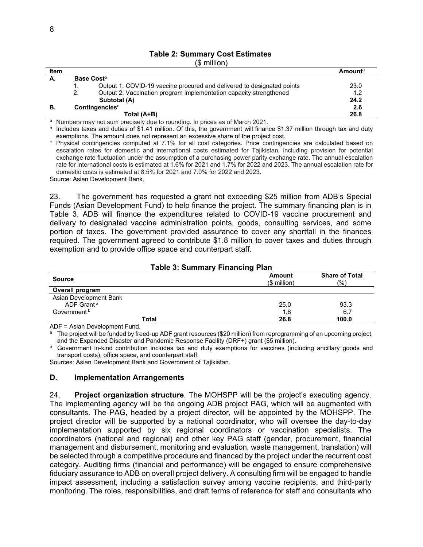# **Table 2: Summary Cost Estimates**

| nillio |
|--------|
|--------|

| <b>Item</b> |    |                                                                        | <b>Amount</b> <sup>a</sup> |
|-------------|----|------------------------------------------------------------------------|----------------------------|
| А.          |    | Base Cost <sup>b</sup>                                                 |                            |
|             | ι. | Output 1: COVID-19 vaccine procured and delivered to designated points | 23.0                       |
|             | 2. | Output 2: Vaccination program implementation capacity strengthened     | 1.2                        |
|             |    | Subtotal (A)                                                           | 24.2                       |
| В.          |    | Contingencies <sup>c</sup>                                             | 2.6                        |
|             |    | Total (A+B)                                                            | 26.8                       |

<sup>a</sup> Numbers may not sum precisely due to rounding. In prices as of March 2021.

**b** Includes taxes and duties of \$1.41 million. Of this, the government will finance \$1.37 million through tax and duty exemptions. The amount does not represent an excessive share of the project cost.

<sup>c</sup> Physical contingencies computed at 7.1% for all cost categories. Price contingencies are calculated based on escalation rates for domestic and international costs estimated for Tajikistan, including provision for potential exchange rate fluctuation under the assumption of a purchasing power parity exchange rate. The annual escalation rate for international costs is estimated at 1.6% for 2021 and 1.7% for 2022 and 2023. The annual escalation rate for domestic costs is estimated at 8.5% for 2021 and 7.0% for 2022 and 2023.

Source: Asian Development Bank.

23. The government has requested a grant not exceeding \$25 million from ADB's Special Funds (Asian Development Fund) to help finance the project. The summary financing plan is in Table 3. ADB will finance the expenditures related to COVID-19 vaccine procurement and delivery to designated vaccine administration points, goods, consulting services, and some portion of taxes. The government provided assurance to cover any shortfall in the finances required. The government agreed to contribute \$1.8 million to cover taxes and duties through exemption and to provide office space and counterpart staff.

| Table 3: Summary Financing Plan |                               |                              |  |
|---------------------------------|-------------------------------|------------------------------|--|
| <b>Source</b>                   | <b>Amount</b><br>$$$ million) | <b>Share of Total</b><br>(%) |  |
| Overall program                 |                               |                              |  |
| Asian Development Bank          |                               |                              |  |
| ADF Grant <sup>a</sup>          | 25.0                          | 93.3                         |  |
| Government <sup>b</sup>         | 1.8                           | 6.7                          |  |
| Total                           | 26.8                          | 100.0                        |  |

ADF = Asian Development Fund.

The project will be funded by freed-up ADF grant resources (\$20 million) from reprogramming of an upcoming project, and the Expanded Disaster and Pandemic Response Facility (DRF+) grant (\$5 million).

**b** Government in-kind contribution includes tax and duty exemptions for vaccines (including ancillary goods and transport costs), office space, and counterpart staff.

Sources: Asian Development Bank and Government of Tajikistan.

#### **D. Implementation Arrangements**

24. **Project organization structure**. The MOHSPP will be the project's executing agency. The implementing agency will be the ongoing ADB project PAG, which will be augmented with consultants. The PAG, headed by a project director, will be appointed by the MOHSPP. The project director will be supported by a national coordinator, who will oversee the day-to-day implementation supported by six regional coordinators or vaccination specialists. The coordinators (national and regional) and other key PAG staff (gender, procurement, financial management and disbursement, monitoring and evaluation, waste management, translation) will be selected through a competitive procedure and financed by the project under the recurrent cost category. Auditing firms (financial and performance) will be engaged to ensure comprehensive fiduciary assurance to ADB on overall project delivery. A consulting firm will be engaged to handle impact assessment, including a satisfaction survey among vaccine recipients, and third-party monitoring. The roles, responsibilities, and draft terms of reference for staff and consultants who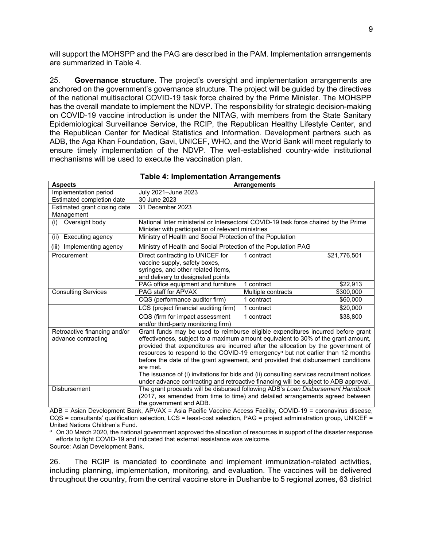will support the MOHSPP and the PAG are described in the PAM. Implementation arrangements are summarized in Table 4.

25. **Governance structure.** The project's oversight and implementation arrangements are anchored on the government's governance structure. The project will be guided by the directives of the national multisectoral COVID-19 task force chaired by the Prime Minister. The MOHSPP has the overall mandate to implement the NDVP. The responsibility for strategic decision-making on COVID-19 vaccine introduction is under the NITAG, with members from the State Sanitary Epidemiological Surveillance Service, the RCIP, the Republican Healthy Lifestyle Center, and the Republican Center for Medical Statistics and Information. Development partners such as ADB, the Aga Khan Foundation, Gavi, UNICEF, WHO, and the World Bank will meet regularly to ensure timely implementation of the NDVP. The well-established country-wide institutional mechanisms will be used to execute the vaccination plan.

| <b>Aspects</b>               | <b>Arrangements</b>                                                                        |                    |              |  |
|------------------------------|--------------------------------------------------------------------------------------------|--------------------|--------------|--|
| Implementation period        | July 2021–June 2023                                                                        |                    |              |  |
| Estimated completion date    | 30 June 2023                                                                               |                    |              |  |
| Estimated grant closing date | 31 December 2023                                                                           |                    |              |  |
| Management                   |                                                                                            |                    |              |  |
| Oversight body<br>(i)        | National Inter ministerial or Intersectoral COVID-19 task force chaired by the Prime       |                    |              |  |
|                              | Minister with participation of relevant ministries                                         |                    |              |  |
| Executing agency<br>(ii)     | Ministry of Health and Social Protection of the Population                                 |                    |              |  |
| Implementing agency<br>(iii) | Ministry of Health and Social Protection of the Population PAG                             |                    |              |  |
| Procurement                  | Direct contracting to UNICEF for                                                           | 1 contract         | \$21,776,501 |  |
|                              | vaccine supply, safety boxes,                                                              |                    |              |  |
|                              | syringes, and other related items,                                                         |                    |              |  |
|                              | and delivery to designated points                                                          |                    |              |  |
|                              | PAG office equipment and furniture                                                         | 1 contract         | \$22,913     |  |
| <b>Consulting Services</b>   | PAG staff for APVAX                                                                        | Multiple contracts | \$300,000    |  |
|                              | CQS (performance auditor firm)                                                             | 1 contract         | \$60,000     |  |
|                              | LCS (project financial auditing firm)                                                      | 1 contract         | \$20,000     |  |
|                              | CQS (firm for impact assessment                                                            | 1 contract         | \$38,800     |  |
|                              | and/or third-party monitoring firm)                                                        |                    |              |  |
| Retroactive financing and/or | Grant funds may be used to reimburse eligible expenditures incurred before grant           |                    |              |  |
| advance contracting          | effectiveness, subject to a maximum amount equivalent to 30% of the grant amount,          |                    |              |  |
|                              | provided that expenditures are incurred after the allocation by the government of          |                    |              |  |
|                              | resources to respond to the COVID-19 emergency <sup>a</sup> but not earlier than 12 months |                    |              |  |
|                              | before the date of the grant agreement, and provided that disbursement conditions          |                    |              |  |
|                              | are met.                                                                                   |                    |              |  |
|                              | The issuance of (i) invitations for bids and (ii) consulting services recruitment notices  |                    |              |  |
|                              | under advance contracting and retroactive financing will be subject to ADB approval.       |                    |              |  |
| <b>Disbursement</b>          | The grant proceeds will be disbursed following ADB's Loan Disbursement Handbook            |                    |              |  |
|                              | (2017, as amended from time to time) and detailed arrangements agreed between              |                    |              |  |
|                              | the government and ADB.                                                                    |                    |              |  |

|  |  | <b>Table 4: Implementation Arrangements</b> |
|--|--|---------------------------------------------|
|--|--|---------------------------------------------|

ADB = Asian Development Bank, APVAX = Asia Pacific Vaccine Access Facility, COVID-19 = coronavirus disease, CQS = consultants' qualification selection, LCS = least-cost selection, PAG = project administration group, UNICEF = United Nations Children's Fund.

a On 30 March 2020, the national government approved the allocation of resources in support of the disaster response efforts to fight COVID-19 and indicated that external assistance was welcome.

Source: Asian Development Bank.

26. The RCIP is mandated to coordinate and implement immunization-related activities, including planning, implementation, monitoring, and evaluation. The vaccines will be delivered throughout the country, from the central vaccine store in Dushanbe to 5 regional zones, 63 district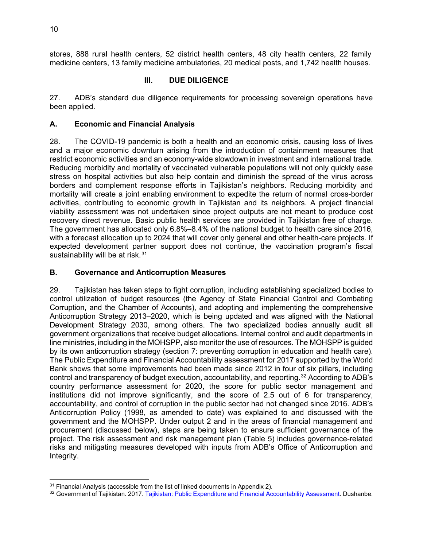stores, 888 rural health centers, 52 district health centers, 48 city health centers, 22 family medicine centers, 13 family medicine ambulatories, 20 medical posts, and 1,742 health houses.

# **III. DUE DILIGENCE**

27. ADB's standard due diligence requirements for processing sovereign operations have been applied.

# **A. Economic and Financial Analysis**

28. The COVID-19 pandemic is both a health and an economic crisis, causing loss of lives and a major economic downturn arising from the introduction of containment measures that restrict economic activities and an economy-wide slowdown in investment and international trade. Reducing morbidity and mortality of vaccinated vulnerable populations will not only quickly ease stress on hospital activities but also help contain and diminish the spread of the virus across borders and complement response efforts in Tajikistan's neighbors. Reducing morbidity and mortality will create a joint enabling environment to expedite the return of normal cross-border activities, contributing to economic growth in Tajikistan and its neighbors. A project financial viability assessment was not undertaken since project outputs are not meant to produce cost recovery direct revenue. Basic public health services are provided in Tajikistan free of charge. The government has allocated only 6.8%–8.4% of the national budget to health care since 2016, with a forecast allocation up to 2024 that will cover only general and other health-care projects. If expected development partner support does not continue, the vaccination program's fiscal sustainability will be at risk.<sup>[31](#page-15-0)</sup>

# **B. Governance and Anticorruption Measures**

29. Tajikistan has taken steps to fight corruption, including establishing specialized bodies to control utilization of budget resources (the Agency of State Financial Control and Combating Corruption, and the Chamber of Accounts), and adopting and implementing the comprehensive Anticorruption Strategy 2013–2020, which is being updated and was aligned with the National Development Strategy 2030, among others. The two specialized bodies annually audit all government organizations that receive budget allocations. Internal control and audit departments in line ministries, including in the MOHSPP, also monitor the use of resources. The MOHSPP is guided by its own anticorruption strategy (section 7: preventing corruption in education and health care). The Public Expenditure and Financial Accountability assessment for 2017 supported by the World Bank shows that some improvements had been made since 2012 in four of six pillars, including control and transparency of budget execution, accountability, and reporting.[32](#page-15-1) According to ADB's country performance assessment for 2020, the score for public sector management and institutions did not improve significantly, and the score of 2.5 out of 6 for transparency, accountability, and control of corruption in the public sector had not changed since 2016. ADB's Anticorruption Policy (1998, as amended to date) was explained to and discussed with the government and the MOHSPP. Under output 2 and in the areas of financial management and procurement (discussed below), steps are being taken to ensure sufficient governance of the project. The risk assessment and risk management plan (Table 5) includes governance-related risks and mitigating measures developed with inputs from ADB's Office of Anticorruption and Integrity.

<span id="page-15-0"></span> $31$  Financial Analysis (accessible from the list of linked documents in Appendix 2).

<span id="page-15-1"></span><sup>32</sup> Government of Tajikistan. 2017. [Tajikistan: Public Expenditure and Financial Accountability Assessment.](https://www.pefa.org/assessments/summary/281) Dushanbe.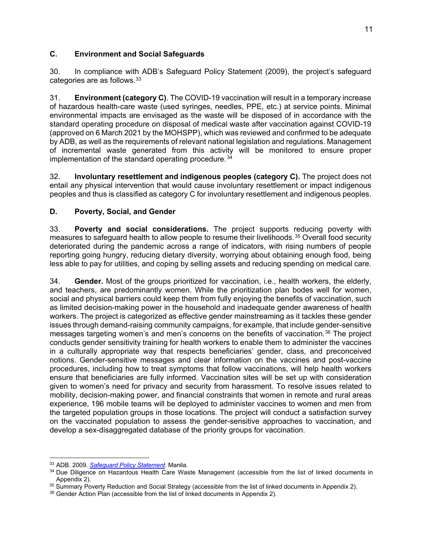# **C. Environment and Social Safeguards**

30. In compliance with ADB's Safeguard Policy Statement (2009), the project's safeguard categories are as follows.[33](#page-16-0)

31. **Environment (category C)**. The COVID-19 vaccination will result in a temporary increase of hazardous health-care waste (used syringes, needles, PPE, etc.) at service points. Minimal environmental impacts are envisaged as the waste will be disposed of in accordance with the standard operating procedure on disposal of medical waste after vaccination against COVID-19 (approved on 6 March 2021 by the MOHSPP), which was reviewed and confirmed to be adequate by ADB, as well as the requirements of relevant national legislation and regulations. Management of incremental waste generated from this activit[y](#page--1-14) will be monitored to ensure proper implementation of the standard operating procedure. [34](#page-16-1)

32. **Involuntary resettlement and indigenous peoples (category C).** The project does not entail any physical intervention that would cause involuntary resettlement or impact indigenous peoples and thus is classified as category C for involuntary resettlement and indigenous peoples.

# **D. Poverty, Social, and Gender**

33. **Poverty and social considerations.** The project supports reducing poverty with measures to safeguard health to allow people to resume their livelihoods.[35](#page-16-2) Overall food security deteriorated during the pandemic across a range of indicators, with rising numbers of people reporting going hungry, reducing dietary diversity, worrying about obtaining enough food, being less able to pay for utilities, and coping by selling assets and reducing spending on medical care.

34. **Gender.** Most of the groups prioritized for vaccination, i.e., health workers, the elderly, and teachers, are predominantly women. While the prioritization plan bodes well for women, social and physical barriers could keep them from fully enjoying the benefits of vaccination, such as limited decision-making power in the household and inadequate gender awareness of health workers. The project is categorized as effective gender mainstreaming as it tackles these gender issues through demand-raising community campaigns, for example, that include gender-sensitive messages targeting women's and men's concerns on the benefits of vaccination.[36](#page-16-3) The project conducts gender sensitivity training for health workers to enable them to administer the vaccines in a culturally appropriate way that respects beneficiaries' gender, class, and preconceived notions. Gender-sensitive messages and clear information on the vaccines and post-vaccine procedures, including how to treat symptoms that follow vaccinations, will help health workers ensure that beneficiaries are fully informed. Vaccination sites will be set up with consideration given to women's need for privacy and security from harassment. To resolve issues related to mobility, decision-making power, and financial constraints that women in remote and rural areas experience, 196 mobile teams will be deployed to administer vaccines to women and men from the targeted population groups in those locations. The project will conduct a satisfaction survey on the vaccinated population to assess the gender-sensitive approaches to vaccination, and develop a sex-disaggregated database of the priority groups for vaccination.

<span id="page-16-0"></span><sup>33</sup> ADB. 2009. *[Safeguard Policy Statement](https://www.adb.org/sites/default/files/institutional-document/32056/safeguard-policy-statement-june2009.pdf)*. Manila.

<span id="page-16-1"></span><sup>&</sup>lt;sup>34</sup> Due Diligence on Hazardous Health Care Waste Management (accessible from the list of linked documents in Appendix 2).

<span id="page-16-2"></span><sup>&</sup>lt;sup>35</sup> Summary Poverty Reduction and Social Strategy (accessible from the list of linked documents in Appendix 2).

<span id="page-16-3"></span><sup>&</sup>lt;sup>36</sup> Gender Action Plan (accessible from the list of linked documents in Appendix 2).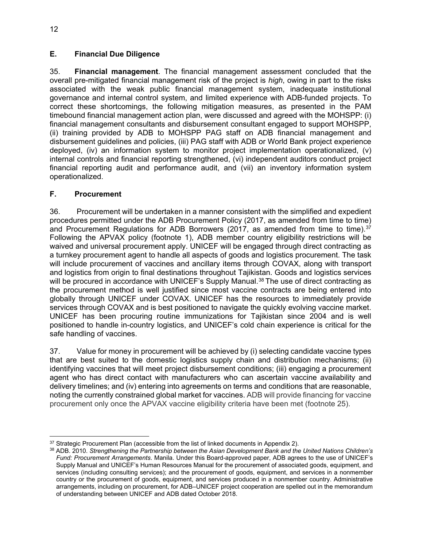# **E. Financial Due Diligence**

35. **Financial management**. The financial management assessment concluded that the overall pre-mitigated financial management risk of the project is *high*, owing in part to the risks associated with the weak public financial management system, inadequate institutional governance and internal control system, and limited experience with ADB-funded projects. To correct these shortcomings, the following mitigation measures, as presented in the PAM timebound financial management action plan, were discussed and agreed with the MOHSPP: (i) financial management consultants and disbursement consultant engaged to support MOHSPP, (ii) training provided by ADB to MOHSPP PAG staff on ADB financial management and disbursement guidelines and policies, (iii) PAG staff with ADB or World Bank project experience deployed, (iv) an information system to monitor project implementation operationalized, (v) internal controls and financial reporting strengthened, (vi) independent auditors conduct project financial reporting audit and performance audit, and (vii) an inventory information system operationalized.

# **F. Procurement**

36. Procurement will be undertaken in a manner consistent with the simplified and expedient procedures permitted under the ADB Procurement Policy (2017, as amended from time to time) and Procurement Regulations for ADB Borrowers (2017, as amended from time to time).<sup>[37](#page-17-0)</sup> Following the APVAX policy (footnote 1), ADB member country eligibility restrictions will be waived and universal procurement apply. UNICEF will be engaged through direct contracting as a turnkey procurement agent to handle all aspects of goods and logistics procurement. The task will include procurement of vaccines and ancillary items through COVAX, along with transport and logistics from origin to final destinations throughout Tajikistan. Goods and logistics services will be procured in accordance with UNICEF's Supply Manual.<sup>[38](#page-17-1)</sup> The use of direct contracting as the procurement method is well justified since most vaccine contracts are being entered into globally through UNICEF under COVAX. UNICEF has the resources to immediately provide services through COVAX and is best positioned to navigate the quickly evolving vaccine market. UNICEF has been procuring routine immunizations for Tajikistan since 2004 and is well positioned to handle in-country logistics, and UNICEF's cold chain experience is critical for the safe handling of vaccines.

37. Value for money in procurement will be achieved by (i) selecting candidate vaccine types that are best suited to the domestic logistics supply chain and distribution mechanisms; (ii) identifying vaccines that will meet project disbursement conditions; (iii) engaging a procurement agent who has direct contact with manufacturers who can ascertain vaccine availability and delivery timelines; and (iv) entering into agreements on terms and conditions that are reasonable, noting the currently constrained global market for vaccines. ADB will provide financing for vaccine procurement only once the APVAX vaccine eligibility criteria have been met (footnote 25).

<span id="page-17-0"></span><sup>&</sup>lt;sup>37</sup> Strategic Procurement Plan (accessible from the list of linked documents in Appendix 2).

<span id="page-17-1"></span><sup>38</sup> ADB. 2010. *Strengthening the Partnership between the Asian Development Bank and the United Nations Children's Fund: Procurement Arrangements*. Manila. Under this Board-approved paper, ADB agrees to the use of UNICEF's Supply Manual and UNICEF's Human Resources Manual for the procurement of associated goods, equipment, and services (including consulting services); and the procurement of goods, equipment, and services in a nonmember country or the procurement of goods, equipment, and services produced in a nonmember country. Administrative arrangements, including on procurement, for ADB–UNICEF project cooperation are spelled out in the memorandum of understanding between UNICEF and ADB dated October 2018.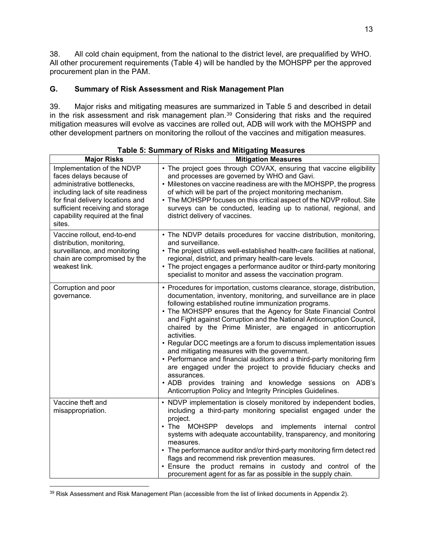38. All cold chain equipment, from the national to the district level, are prequalified by WHO. All other procurement requirements (Table 4) will be handled by the MOHSPP per the approved procurement plan in the PAM.

# **G. Summary of Risk Assessment and Risk Management Plan**

39. Major risks and mitigating measures are summarized in Table 5 and described in detail in the risk assessment and risk management plan.<sup>[39](#page-18-0)</sup> Considering that risks and the required mitigation measures will evolve as vaccines are rolled out, ADB will work with the MOHSPP and other development partners on monitoring the rollout of the vaccines and mitigation measures.

| <b>Major Risks</b>                                                                                                                                                                                                                             | <b>Mitigation Measures</b>                                                                                                                                                                                                                                                                                                                                                                                                                                                                                                                                                                                                                                                                                                                                                                                                                   |  |
|------------------------------------------------------------------------------------------------------------------------------------------------------------------------------------------------------------------------------------------------|----------------------------------------------------------------------------------------------------------------------------------------------------------------------------------------------------------------------------------------------------------------------------------------------------------------------------------------------------------------------------------------------------------------------------------------------------------------------------------------------------------------------------------------------------------------------------------------------------------------------------------------------------------------------------------------------------------------------------------------------------------------------------------------------------------------------------------------------|--|
| Implementation of the NDVP<br>faces delays because of<br>administrative bottlenecks,<br>including lack of site readiness<br>for final delivery locations and<br>sufficient receiving and storage<br>capability required at the final<br>sites. | • The project goes through COVAX, ensuring that vaccine eligibility<br>and processes are governed by WHO and Gavi.<br>• Milestones on vaccine readiness are with the MOHSPP, the progress<br>of which will be part of the project monitoring mechanism.<br>• The MOHSPP focuses on this critical aspect of the NDVP rollout. Site<br>surveys can be conducted, leading up to national, regional, and<br>district delivery of vaccines.                                                                                                                                                                                                                                                                                                                                                                                                       |  |
| Vaccine rollout, end-to-end<br>distribution, monitoring,<br>surveillance, and monitoring<br>chain are compromised by the<br>weakest link.                                                                                                      | • The NDVP details procedures for vaccine distribution, monitoring,<br>and surveillance.<br>• The project utilizes well-established health-care facilities at national,<br>regional, district, and primary health-care levels.<br>• The project engages a performance auditor or third-party monitoring<br>specialist to monitor and assess the vaccination program.                                                                                                                                                                                                                                                                                                                                                                                                                                                                         |  |
| Corruption and poor<br>governance.                                                                                                                                                                                                             | • Procedures for importation, customs clearance, storage, distribution,<br>documentation, inventory, monitoring, and surveillance are in place<br>following established routine immunization programs.<br>• The MOHSPP ensures that the Agency for State Financial Control<br>and Fight against Corruption and the National Anticorruption Council,<br>chaired by the Prime Minister, are engaged in anticorruption<br>activities.<br>• Regular DCC meetings are a forum to discuss implementation issues<br>and mitigating measures with the government.<br>• Performance and financial auditors and a third-party monitoring firm<br>are engaged under the project to provide fiduciary checks and<br>assurances.<br>• ADB provides training and knowledge sessions on ADB's<br>Anticorruption Policy and Integrity Principles Guidelines. |  |
| Vaccine theft and<br>misappropriation.                                                                                                                                                                                                         | NDVP implementation is closely monitored by independent bodies,<br>including a third-party monitoring specialist engaged under the<br>project.<br><b>MOHSPP</b><br>$\cdot$ The<br>develops<br>and<br>implements<br>internal<br>control<br>systems with adequate accountability, transparency, and monitoring<br>measures.<br>• The performance auditor and/or third-party monitoring firm detect red<br>flags and recommend risk prevention measures.<br>. Ensure the product remains in custody and control of the<br>procurement agent for as far as possible in the supply chain.                                                                                                                                                                                                                                                         |  |

**Table 5: Summary of Risks and Mitigating Measures**

<span id="page-18-0"></span><sup>&</sup>lt;sup>39</sup> Risk Assessment and Risk Management Plan (accessible from the list of linked documents in Appendix 2).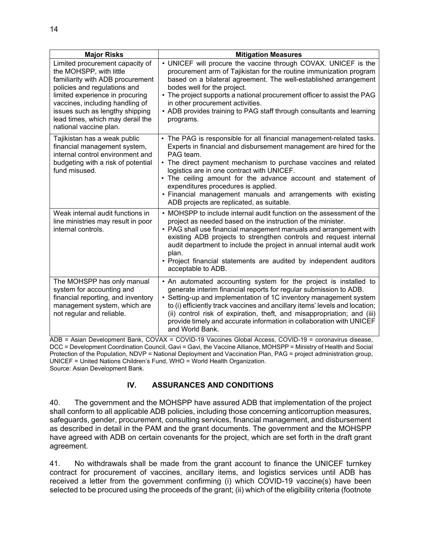| <b>Major Risks</b>                                                                                                                                                                                                                                                                                    | <b>Mitigation Measures</b>                                                                                                                                                                                                                                                                                                                                                                                                                                                                                                                            |  |
|-------------------------------------------------------------------------------------------------------------------------------------------------------------------------------------------------------------------------------------------------------------------------------------------------------|-------------------------------------------------------------------------------------------------------------------------------------------------------------------------------------------------------------------------------------------------------------------------------------------------------------------------------------------------------------------------------------------------------------------------------------------------------------------------------------------------------------------------------------------------------|--|
| Limited procurement capacity of<br>the MOHSPP, with little<br>familiarity with ADB procurement<br>policies and regulations and<br>limited experience in procuring<br>vaccines, including handling of<br>issues such as lengthy shipping<br>lead times, which may derail the<br>national vaccine plan. | • UNICEF will procure the vaccine through COVAX. UNICEF is the<br>procurement arm of Tajikistan for the routine immunization program<br>based on a bilateral agreement. The well-established arrangement<br>bodes well for the project.<br>The project supports a national procurement officer to assist the PAG<br>in other procurement activities.<br>• ADB provides training to PAG staff through consultants and learning<br>programs.                                                                                                            |  |
| Tajikistan has a weak public<br>financial management system,<br>internal control environment and<br>budgeting with a risk of potential<br>fund misused.                                                                                                                                               | The PAG is responsible for all financial management-related tasks.<br>Experts in financial and disbursement management are hired for the<br>PAG team.<br>• The direct payment mechanism to purchase vaccines and related<br>logistics are in one contract with UNICEF.<br>• The ceiling amount for the advance account and statement of<br>expenditures procedures is applied.<br>• Financial management manuals and arrangements with existing<br>ADB projects are replicated, as suitable.                                                          |  |
| Weak internal audit functions in<br>line ministries may result in poor<br>internal controls.                                                                                                                                                                                                          | • MOHSPP to include internal audit function on the assessment of the<br>project as needed based on the instruction of the minister.<br>• PAG shall use financial management manuals and arrangement with<br>existing ADB projects to strengthen controls and request internal<br>audit department to include the project in annual internal audit work<br>plan.<br>• Project financial statements are audited by independent auditors<br>acceptable to ADB.                                                                                           |  |
| The MOHSPP has only manual<br>system for accounting and<br>financial reporting, and inventory<br>management system, which are<br>not regular and reliable.                                                                                                                                            | • An automated accounting system for the project is installed to<br>generate interim financial reports for regular submission to ADB.<br>• Setting-up and implementation of 1C inventory management system<br>to (i) efficiently track vaccines and ancillary items' levels and location;<br>(ii) control risk of expiration, theft, and misappropriation; and (iii)<br>provide timely and accurate information in collaboration with UNICEF<br>and World Bank.<br>$\sim$ $\sim$ $\sim$ $\sim$ $\sim$<br>$\sim$ $\sim$ $\sim$<br>$\sim$ $\sim$ $\sim$ |  |

ADB = Asian Development Bank, COVAX = COVID-19 Vaccines Global Access, COVID-19 = coronavirus disease, DCC = Development Coordination Council, Gavi = Gavi, the Vaccine Alliance, MOHSPP = Ministry of Health and Social Protection of the Population, NDVP = National Deployment and Vaccination Plan, PAG = project administration group, UNICEF = United Nations Children's Fund, WHO = World Health Organization. Source: Asian Development Bank.

## **IV. ASSURANCES AND CONDITIONS**

40. The government and the MOHSPP have assured ADB that implementation of the project shall conform to all applicable ADB policies, including those concerning anticorruption measures, safeguards, gender, procurement, consulting services, financial management, and disbursement as described in detail in the PAM and the grant documents. The government and the MOHSPP have agreed with ADB on certain covenants for the project, which are set forth in the draft grant agreement.

41. No withdrawals shall be made from the grant account to finance the UNICEF turnkey contract for procurement of vaccines, ancillary items, and logistics services until ADB has received a letter from the government confirming (i) which COVID-19 vaccine(s) have been selected to be procured using the proceeds of the grant; (ii) which of the eligibility criteria (footnote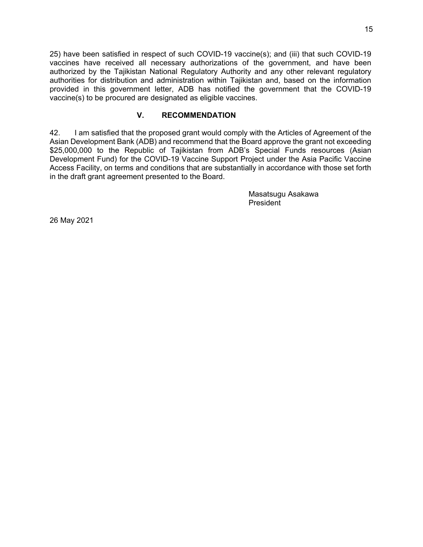25) have been satisfied in respect of such COVID-19 vaccine(s); and (iii) that such COVID-19 vaccines have received all necessary authorizations of the government, and have been authorized by the Tajikistan National Regulatory Authority and any other relevant regulatory authorities for distribution and administration within Tajikistan and, based on the information provided in this government letter, ADB has notified the government that the COVID-19 vaccine(s) to be procured are designated as eligible vaccines.

#### **V. RECOMMENDATION**

42. I am satisfied that the proposed grant would comply with the Articles of Agreement of the Asian Development Bank (ADB) and recommend that the Board approve the grant not exceeding \$25,000,000 to the Republic of Tajikistan from ADB's Special Funds resources (Asian Development Fund) for the COVID-19 Vaccine Support Project under the Asia Pacific Vaccine Access Facility, on terms and conditions that are substantially in accordance with those set forth in the draft grant agreement presented to the Board.

> Masatsugu Asakawa President

26 May 2021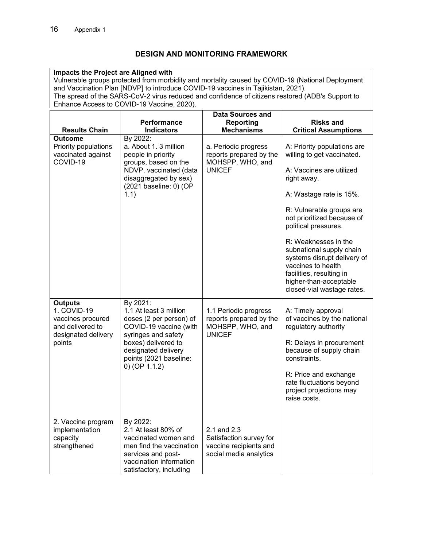# **DESIGN AND MONITORING FRAMEWORK**

| Impacts the Project are Aligned with<br>Vulnerable groups protected from morbidity and mortality caused by COVID-19 (National Deployment<br>and Vaccination Plan [NDVP] to introduce COVID-19 vaccines in Tajikistan, 2021).<br>The spread of the SARS-CoV-2 virus reduced and confidence of citizens restored (ADB's Support to<br>Enhance Access to COVID-19 Vaccine, 2020). |                                                                                                                                                                                                           |                                                                                                                                                          |                                                                                                                                                                                                                                                                                                                                                            |  |  |  |
|--------------------------------------------------------------------------------------------------------------------------------------------------------------------------------------------------------------------------------------------------------------------------------------------------------------------------------------------------------------------------------|-----------------------------------------------------------------------------------------------------------------------------------------------------------------------------------------------------------|----------------------------------------------------------------------------------------------------------------------------------------------------------|------------------------------------------------------------------------------------------------------------------------------------------------------------------------------------------------------------------------------------------------------------------------------------------------------------------------------------------------------------|--|--|--|
| <b>Results Chain</b><br><b>Outcome</b><br>Priority populations<br>vaccinated against<br>COVID-19                                                                                                                                                                                                                                                                               | Performance<br><b>Indicators</b><br>By 2022:<br>a. About 1. 3 million<br>people in priority<br>groups, based on the<br>NDVP, vaccinated (data<br>disaggregated by sex)<br>(2021 baseline: 0) (OP<br>1.1)  | <b>Data Sources and</b><br><b>Reporting</b><br><b>Mechanisms</b><br>a. Periodic progress<br>reports prepared by the<br>MOHSPP, WHO, and<br><b>UNICEF</b> | <b>Risks and</b><br><b>Critical Assumptions</b><br>A: Priority populations are<br>willing to get vaccinated.<br>A: Vaccines are utilized<br>right away.<br>A: Wastage rate is 15%.<br>R: Vulnerable groups are<br>not prioritized because of<br>political pressures.<br>R: Weaknesses in the<br>subnational supply chain<br>systems disrupt delivery of    |  |  |  |
| <b>Outputs</b><br>1. COVID-19<br>vaccines procured<br>and delivered to<br>designated delivery<br>points                                                                                                                                                                                                                                                                        | By 2021:<br>1.1 At least 3 million<br>doses (2 per person) of<br>COVID-19 vaccine (with<br>syringes and safety<br>boxes) delivered to<br>designated delivery<br>points (2021 baseline:<br>$0)$ (OP 1.1.2) | 1.1 Periodic progress<br>reports prepared by the<br>MOHSPP, WHO, and<br><b>UNICEF</b>                                                                    | vaccines to health<br>facilities, resulting in<br>higher-than-acceptable<br>closed-vial wastage rates.<br>A: Timely approval<br>of vaccines by the national<br>regulatory authority<br>R: Delays in procurement<br>because of supply chain<br>constraints.<br>R: Price and exchange<br>rate fluctuations beyond<br>project projections may<br>raise costs. |  |  |  |
| 2. Vaccine program<br>implementation<br>capacity<br>strengthened                                                                                                                                                                                                                                                                                                               | By 2022:<br>2.1 At least 80% of<br>vaccinated women and<br>men find the vaccination<br>services and post-<br>vaccination information<br>satisfactory, including                                           | 2.1 and 2.3<br>Satisfaction survey for<br>vaccine recipients and<br>social media analytics                                                               |                                                                                                                                                                                                                                                                                                                                                            |  |  |  |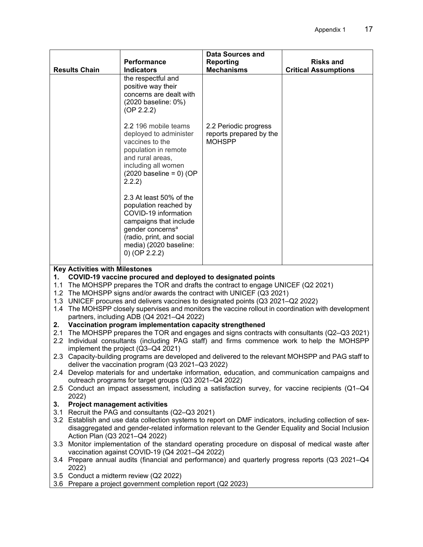|                                                                                                                                                                                                 |                                                                                                                                                                                     | <b>Data Sources and</b>                                           |                             |  |  |  |
|-------------------------------------------------------------------------------------------------------------------------------------------------------------------------------------------------|-------------------------------------------------------------------------------------------------------------------------------------------------------------------------------------|-------------------------------------------------------------------|-----------------------------|--|--|--|
|                                                                                                                                                                                                 | Performance                                                                                                                                                                         | Reporting<br><b>Mechanisms</b>                                    | <b>Risks and</b>            |  |  |  |
| <b>Results Chain</b>                                                                                                                                                                            | <b>Indicators</b><br>the respectful and                                                                                                                                             |                                                                   | <b>Critical Assumptions</b> |  |  |  |
|                                                                                                                                                                                                 | positive way their                                                                                                                                                                  |                                                                   |                             |  |  |  |
|                                                                                                                                                                                                 | concerns are dealt with                                                                                                                                                             |                                                                   |                             |  |  |  |
|                                                                                                                                                                                                 | (2020 baseline: 0%)                                                                                                                                                                 |                                                                   |                             |  |  |  |
|                                                                                                                                                                                                 | (OP 2.2.2)                                                                                                                                                                          |                                                                   |                             |  |  |  |
|                                                                                                                                                                                                 | 2.2 196 mobile teams<br>deployed to administer<br>vaccines to the<br>population in remote<br>and rural areas,<br>including all women<br>$(2020 \text{ baseline} = 0)$ (OP<br>2.2.2) | 2.2 Periodic progress<br>reports prepared by the<br><b>MOHSPP</b> |                             |  |  |  |
|                                                                                                                                                                                                 | 2.3 At least 50% of the<br>population reached by                                                                                                                                    |                                                                   |                             |  |  |  |
|                                                                                                                                                                                                 | COVID-19 information                                                                                                                                                                |                                                                   |                             |  |  |  |
|                                                                                                                                                                                                 | campaigns that include                                                                                                                                                              |                                                                   |                             |  |  |  |
|                                                                                                                                                                                                 | gender concerns <sup>a</sup><br>(radio, print, and social                                                                                                                           |                                                                   |                             |  |  |  |
|                                                                                                                                                                                                 | media) (2020 baseline:                                                                                                                                                              |                                                                   |                             |  |  |  |
|                                                                                                                                                                                                 | 0) (OP $2.2.2$ )                                                                                                                                                                    |                                                                   |                             |  |  |  |
| <b>Key Activities with Milestones</b>                                                                                                                                                           |                                                                                                                                                                                     |                                                                   |                             |  |  |  |
| 1.                                                                                                                                                                                              | COVID-19 vaccine procured and deployed to designated points                                                                                                                         |                                                                   |                             |  |  |  |
|                                                                                                                                                                                                 | 1.1 The MOHSPP prepares the TOR and drafts the contract to engage UNICEF (Q2 2021)                                                                                                  |                                                                   |                             |  |  |  |
|                                                                                                                                                                                                 | 1.2 The MOHSPP signs and/or awards the contract with UNICEF (Q3 2021)<br>1.3 UNICEF procures and delivers vaccines to designated points (Q3 2021-Q2 2022)                           |                                                                   |                             |  |  |  |
|                                                                                                                                                                                                 | 1.4 The MOHSPP closely supervises and monitors the vaccine rollout in coordination with development                                                                                 |                                                                   |                             |  |  |  |
|                                                                                                                                                                                                 | partners, including ADB (Q4 2021-Q4 2022)                                                                                                                                           |                                                                   |                             |  |  |  |
| 2.                                                                                                                                                                                              | Vaccination program implementation capacity strengthened                                                                                                                            |                                                                   |                             |  |  |  |
| 2.1 The MOHSPP prepares the TOR and engages and signs contracts with consultants (Q2–Q3 2021)<br>Individual consultants (including PAG staff) and firms commence work to help the MOHSPP<br>2.2 |                                                                                                                                                                                     |                                                                   |                             |  |  |  |
| implement the project (Q3-Q4 2021)                                                                                                                                                              |                                                                                                                                                                                     |                                                                   |                             |  |  |  |
| 2.3 Capacity-building programs are developed and delivered to the relevant MOHSPP and PAG staff to                                                                                              |                                                                                                                                                                                     |                                                                   |                             |  |  |  |
| deliver the vaccination program (Q3 2021-Q3 2022)<br>2.4 Develop materials for and undertake information, education, and communication campaigns and                                            |                                                                                                                                                                                     |                                                                   |                             |  |  |  |
|                                                                                                                                                                                                 | outreach programs for target groups (Q3 2021-Q4 2022)                                                                                                                               |                                                                   |                             |  |  |  |
| 2.5 Conduct an impact assessment, including a satisfaction survey, for vaccine recipients (Q1-Q4<br>2022)                                                                                       |                                                                                                                                                                                     |                                                                   |                             |  |  |  |
| <b>Project management activities</b><br>3.                                                                                                                                                      |                                                                                                                                                                                     |                                                                   |                             |  |  |  |
| 3.1 Recruit the PAG and consultants (Q2-Q3 2021)<br>3.2 Establish and use data collection systems to report on DMF indicators, including collection of sex-                                     |                                                                                                                                                                                     |                                                                   |                             |  |  |  |
| disaggregated and gender-related information relevant to the Gender Equality and Social Inclusion                                                                                               |                                                                                                                                                                                     |                                                                   |                             |  |  |  |
| Action Plan (Q3 2021-Q4 2022)                                                                                                                                                                   |                                                                                                                                                                                     |                                                                   |                             |  |  |  |
| 3.3 Monitor implementation of the standard operating procedure on disposal of medical waste after<br>vaccination against COVID-19 (Q4 2021-Q4 2022)                                             |                                                                                                                                                                                     |                                                                   |                             |  |  |  |
| 3.4 Prepare annual audits (financial and performance) and quarterly progress reports (Q3 2021–Q4<br>2022)                                                                                       |                                                                                                                                                                                     |                                                                   |                             |  |  |  |
|                                                                                                                                                                                                 | 3.5 Conduct a midterm review (Q2 2022)                                                                                                                                              |                                                                   |                             |  |  |  |
|                                                                                                                                                                                                 | 3.6 Prepare a project government completion report (Q2 2023)                                                                                                                        |                                                                   |                             |  |  |  |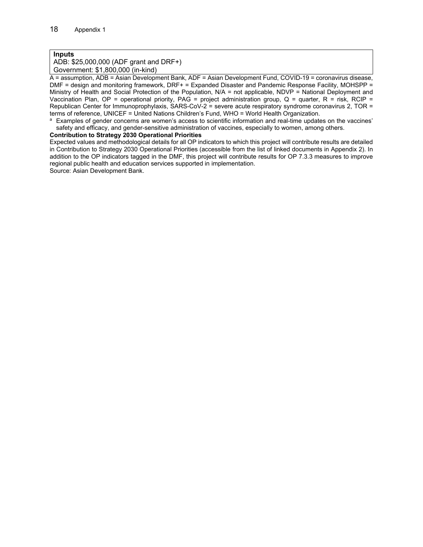#### **Inputs**

ADB: \$25,000,000 (ADF grant and DRF+) Government: \$1,800,000 (in-kind)

A = assumption, ADB = Asian Development Bank, ADF = Asian Development Fund, COVID-19 = coronavirus disease, DMF = design and monitoring framework, DRF+ = Expanded Disaster and Pandemic Response Facility, MOHSPP = Ministry of Health and Social Protection of the Population, N/A = not applicable, NDVP = National Deployment and Vaccination Plan, OP = operational priority, PAG = project administration group, Q = quarter, R = risk, RCIP = Republican Center for Immunoprophylaxis, SARS-CoV-2 = severe acute respiratory syndrome coronavirus 2, TOR = terms of reference, UNICEF = United Nations Children's Fund, WHO = World Health Organization.

<sup>a</sup> Examples of gender concerns are women's access to scientific information and real-time updates on the vaccines' safety and efficacy, and gender-sensitive administration of vaccines, especially to women, among others.

#### **Contribution to Strategy 2030 Operational Priorities**

Expected values and methodological details for all OP indicators to which this project will contribute results are detailed in Contribution to Strategy 2030 Operational Priorities (accessible from the list of linked documents in Appendix 2). In addition to the OP indicators tagged in the DMF, this project will contribute results for OP 7.3.3 measures to improve regional public health and education services supported in implementation.

Source: Asian Development Bank.